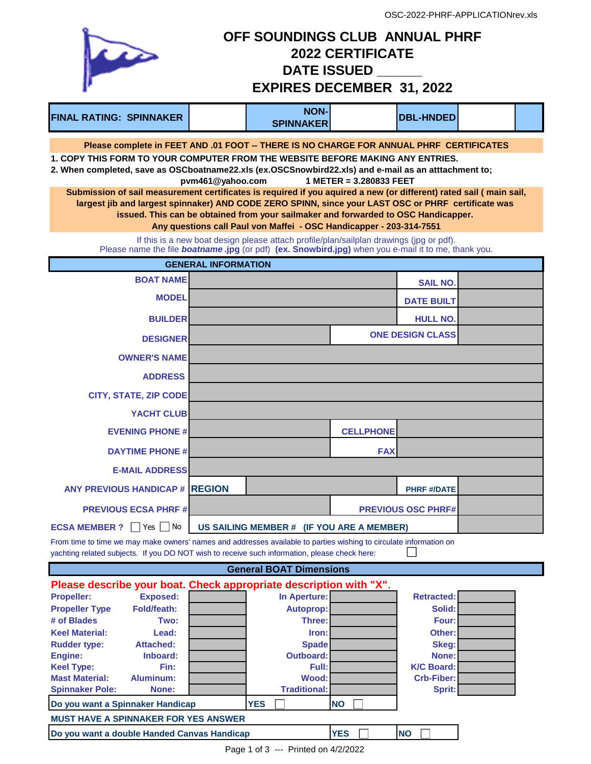| OFF SOUNDINGS CLUB ANNUAL PHRF<br>$\sum$<br><b>2022 CERTIFICATE</b><br><b>DATE ISSUED</b><br><b>EXPIRES DECEMBER 31, 2022</b>                                                                                             |                            |                                                                                         |                         |                           |  |  |
|---------------------------------------------------------------------------------------------------------------------------------------------------------------------------------------------------------------------------|----------------------------|-----------------------------------------------------------------------------------------|-------------------------|---------------------------|--|--|
| <b>FINAL RATING: SPINNAKER</b>                                                                                                                                                                                            |                            | <b>NON-</b><br><b>SPINNAKER</b>                                                         |                         | <b>DBL-HNDED</b>          |  |  |
| Please complete in FEET AND .01 FOOT -- THERE IS NO CHARGE FOR ANNUAL PHRF CERTIFICATES                                                                                                                                   |                            |                                                                                         |                         |                           |  |  |
| 1. COPY THIS FORM TO YOUR COMPUTER FROM THE WEBSITE BEFORE MAKING ANY ENTRIES.<br>2. When completed, save as OSCboatname22.xls (ex.OSCSnowbird22.xls) and e-mail as an atttachment to;                                    | pvm461@yahoo.com           |                                                                                         | 1 METER = 3.280833 FEET |                           |  |  |
| Submission of sail measurement certificates is required if you aquired a new (or different) rated sail (main sail,<br>largest jib and largest spinnaker) AND CODE ZERO SPINN, since your LAST OSC or PHRF certificate was |                            |                                                                                         |                         |                           |  |  |
|                                                                                                                                                                                                                           |                            | issued. This can be obtained from your sailmaker and forwarded to OSC Handicapper.      |                         |                           |  |  |
|                                                                                                                                                                                                                           |                            | Any questions call Paul von Maffei - OSC Handicapper - 203-314-7551                     |                         |                           |  |  |
| Please name the file <b>boatname.jpg</b> (or pdf) (ex. Snowbird.jpg) when you e-mail it to me, thank you.                                                                                                                 |                            | If this is a new boat design please attach profile/plan/sailplan drawings (jpg or pdf). |                         |                           |  |  |
|                                                                                                                                                                                                                           | <b>GENERAL INFORMATION</b> |                                                                                         |                         |                           |  |  |
| <b>BOAT NAME</b>                                                                                                                                                                                                          |                            |                                                                                         |                         | <b>SAIL NO.</b>           |  |  |
| <b>MODEL</b>                                                                                                                                                                                                              |                            |                                                                                         |                         | <b>DATE BUILT</b>         |  |  |
| <b>BUILDER</b>                                                                                                                                                                                                            |                            |                                                                                         |                         | <b>HULL NO.</b>           |  |  |
| <b>DESIGNER</b>                                                                                                                                                                                                           |                            |                                                                                         |                         | <b>ONE DESIGN CLASS</b>   |  |  |
| <b>OWNER'S NAME</b>                                                                                                                                                                                                       |                            |                                                                                         |                         |                           |  |  |
| <b>ADDRESS</b>                                                                                                                                                                                                            |                            |                                                                                         |                         |                           |  |  |
| <b>CITY, STATE, ZIP CODE</b>                                                                                                                                                                                              |                            |                                                                                         |                         |                           |  |  |
| YACHT CLUB                                                                                                                                                                                                                |                            |                                                                                         |                         |                           |  |  |
| <b>EVENING PHONE #</b>                                                                                                                                                                                                    |                            |                                                                                         | <b>CELLPHONE</b>        |                           |  |  |
| <b>DAYTIME PHONE #</b>                                                                                                                                                                                                    |                            |                                                                                         | <b>FAX</b>              |                           |  |  |
| <b>E-MAIL ADDRESS</b>                                                                                                                                                                                                     |                            |                                                                                         |                         |                           |  |  |
| <b>ANY PREVIOUS HANDICAP # REGION</b>                                                                                                                                                                                     |                            |                                                                                         |                         | <b>PHRF #/DATE</b>        |  |  |
| <b>PREVIOUS ECSA PHRF#</b>                                                                                                                                                                                                |                            |                                                                                         |                         | <b>PREVIOUS OSC PHRF#</b> |  |  |
| $Yes \Box No$<br><b>ECSA MEMBER ?</b>                                                                                                                                                                                     |                            | US SAILING MEMBER # (IF YOU ARE A MEMBER)                                               |                         |                           |  |  |
| From time to time we may make owners' names and addresses available to parties wishing to circulate information on<br>yachting related subjects. If you DO NOT wish to receive such information, please check here:       |                            |                                                                                         |                         |                           |  |  |
|                                                                                                                                                                                                                           |                            | <b>General BOAT Dimensions</b>                                                          |                         |                           |  |  |
| Please describe your boat. Check appropriate description with "X"<br>Exposed:<br><b>Propeller:</b>                                                                                                                        |                            | In Aperture:                                                                            |                         | Retracted:                |  |  |

|                                             |                    | Please describe your boat. Check appropriate description with A |            |                   |  |
|---------------------------------------------|--------------------|-----------------------------------------------------------------|------------|-------------------|--|
| <b>Propeller:</b>                           | <b>Exposed:</b>    | In Aperture:                                                    |            | <b>Retracted:</b> |  |
| <b>Propeller Type</b>                       | <b>Fold/feath:</b> | <b>Autoprop:</b>                                                |            | Solid:            |  |
| # of Blades                                 | Two:               | <b>Three:</b>                                                   |            | Four:             |  |
| <b>Keel Material:</b>                       | Lead:              | Iron:                                                           |            | Other:            |  |
| <b>Rudder type:</b>                         | <b>Attached:</b>   | <b>Spade</b>                                                    |            | Skeg:             |  |
| Engine:                                     | Inboard:           | <b>Outboard:</b>                                                |            | None:             |  |
| <b>Keel Type:</b>                           | Fin:               | Full:                                                           |            | <b>K/C Board:</b> |  |
| <b>Mast Material:</b>                       | Aluminum:          | Wood:                                                           |            | <b>Crb-Fiber:</b> |  |
| <b>Spinnaker Pole:</b>                      | None:              | <b>Traditional:</b>                                             |            | Sprit:            |  |
| Do you want a Spinnaker Handicap            |                    | <b>YES</b>                                                      | <b>NO</b>  |                   |  |
| <b>MUST HAVE A SPINNAKER FOR YES ANSWER</b> |                    |                                                                 |            |                   |  |
| Do you want a double Handed Canvas Handicap |                    |                                                                 | <b>YES</b> | <b>NO</b>         |  |

Page 1 of 3 --- Printed on 4/2/2022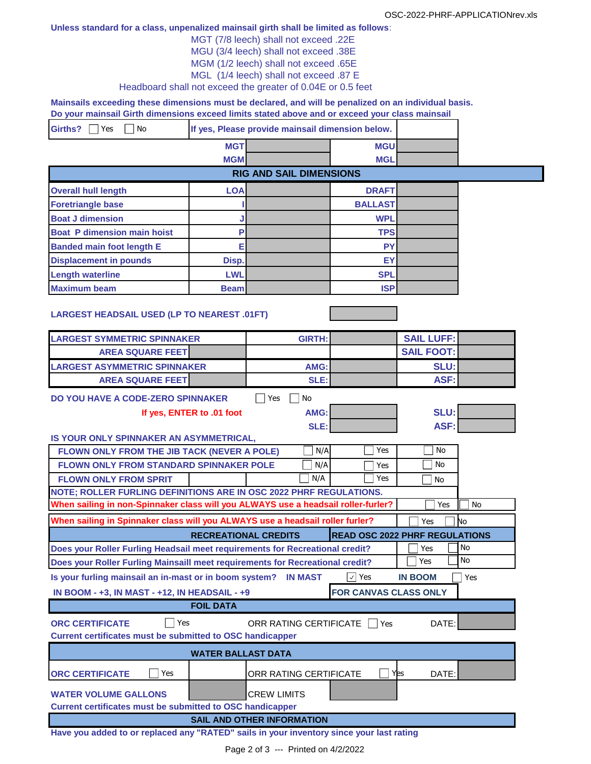## **Unless standard for a class, unpenalized mainsail girth shall be limited as follows**:

- MGT (7/8 leech) shall not exceed .22E
- MGU (3/4 leech) shall not exceed .38E
- MGM (1/2 leech) shall not exceed .65E

MGL (1/4 leech) shall not exceed .87 E

Headboard shall not exceed the greater of 0.04E or 0.5 feet

**Mainsails exceeding these dimensions must be declared, and will be penalized on an individual basis. Do your mainsail Girth dimensions exceed limits stated above and or exceed your class mainsail** 

| <b>Girths?</b><br>No<br>Yes |            | If yes, Please provide mainsail dimension below. |            |  |
|-----------------------------|------------|--------------------------------------------------|------------|--|
|                             | <b>MGT</b> |                                                  | <b>MGU</b> |  |
|                             | <b>MGM</b> |                                                  | <b>MGL</b> |  |
|                             |            | <b>RIG AND SAIL DIMENSIONS</b>                   |            |  |

| <b>Overall hull length</b>         | <b>LOA</b>  | <b>DRAFT</b>   |  |
|------------------------------------|-------------|----------------|--|
| <b>Foretriangle base</b>           |             | <b>BALLAST</b> |  |
| <b>Boat J dimension</b>            |             | <b>WPL</b>     |  |
| <b>Boat P dimension main hoist</b> |             | <b>TPS</b>     |  |
| <b>Banded main foot length E</b>   |             | <b>PY</b>      |  |
| <b>Displacement in pounds</b>      | Disp.       | EY             |  |
| <b>Length waterline</b>            | <b>LWL</b>  | <b>SPL</b>     |  |
| <b>Maximum beam</b>                | <b>Beam</b> | <b>ISP</b>     |  |

## **LARGEST HEADSAIL USED (LP TO NEAREST .01FT)**

| <b>LARGEST SYMMETRIC SPINNAKER</b>                                                                    | <b>GIRTH:</b>                     |                                       | <b>SAIL LUFF:</b> |           |  |
|-------------------------------------------------------------------------------------------------------|-----------------------------------|---------------------------------------|-------------------|-----------|--|
| <b>AREA SQUARE FEET</b>                                                                               |                                   |                                       | <b>SAIL FOOT:</b> |           |  |
| <b>LARGEST ASYMMETRIC SPINNAKER</b>                                                                   | AMG:                              |                                       | SLU:              |           |  |
| <b>AREA SQUARE FEET</b>                                                                               | SLE:                              |                                       | ASF:              |           |  |
| DO YOU HAVE A CODE-ZERO SPINNAKER                                                                     | No<br>Yes                         |                                       |                   |           |  |
| If yes, ENTER to .01 foot                                                                             | AMG:                              |                                       | SLU:              |           |  |
|                                                                                                       | SLE:                              |                                       | ASF:              |           |  |
| IS YOUR ONLY SPINNAKER AN ASYMMETRICAL,                                                               |                                   |                                       |                   |           |  |
| FLOWN ONLY FROM THE JIB TACK (NEVER A POLE)                                                           | N/A                               | Yes                                   | <b>No</b>         |           |  |
| FLOWN ONLY FROM STANDARD SPINNAKER POLE                                                               | N/A                               | Yes                                   | No                |           |  |
| <b>FLOWN ONLY FROM SPRIT</b>                                                                          | N/A                               | Yes                                   | No                |           |  |
| NOTE; ROLLER FURLING DEFINITIONS ARE IN OSC 2022 PHRF REGULATIONS.                                    |                                   |                                       |                   |           |  |
| When sailing in non-Spinnaker class will you ALWAYS use a headsail roller-furler?                     |                                   |                                       | Yes               | <b>No</b> |  |
| When sailing in Spinnaker class will you ALWAYS use a headsail roller furler?                         |                                   |                                       | Yes               | No        |  |
|                                                                                                       | <b>RECREATIONAL CREDITS</b>       | <b>READ OSC 2022 PHRF REGULATIONS</b> |                   |           |  |
| Does your Roller Furling Headsail meet requirements for Recreational credit?                          |                                   |                                       | Yes               | <b>No</b> |  |
| Does your Roller Furling Mainsaill meet requirements for Recreational credit?                         |                                   |                                       | Yes               | <b>No</b> |  |
| Is your furling mainsail an in-mast or in boom system? IN MAST<br>$\vee$ Yes<br><b>IN BOOM</b><br>Yes |                                   |                                       |                   |           |  |
|                                                                                                       |                                   |                                       |                   |           |  |
| IN BOOM - +3, IN MAST - +12, IN HEADSAIL - +9                                                         |                                   | FOR CANVAS CLASS ONLY                 |                   |           |  |
| <b>FOIL DATA</b>                                                                                      |                                   |                                       |                   |           |  |
| <b>ORC CERTIFICATE</b><br>Yes                                                                         |                                   |                                       | DATE:             |           |  |
| <b>Current certificates must be submitted to OSC handicapper</b>                                      | ORR RATING CERTIFICATE   Yes      |                                       |                   |           |  |
|                                                                                                       | <b>WATER BALLAST DATA</b>         |                                       |                   |           |  |
| Yes<br><b>ORC CERTIFICATE</b>                                                                         | ORR RATING CERTIFICATE            | Yes                                   | DATE:             |           |  |
|                                                                                                       |                                   |                                       |                   |           |  |
| <b>WATER VOLUME GALLONS</b>                                                                           | <b>CREW LIMITS</b>                |                                       |                   |           |  |
| <b>Current certificates must be submitted to OSC handicapper</b>                                      | <b>SAIL AND OTHER INFORMATION</b> |                                       |                   |           |  |

**Have you added to or replaced any "RATED" sails in your inventory since your last rating**